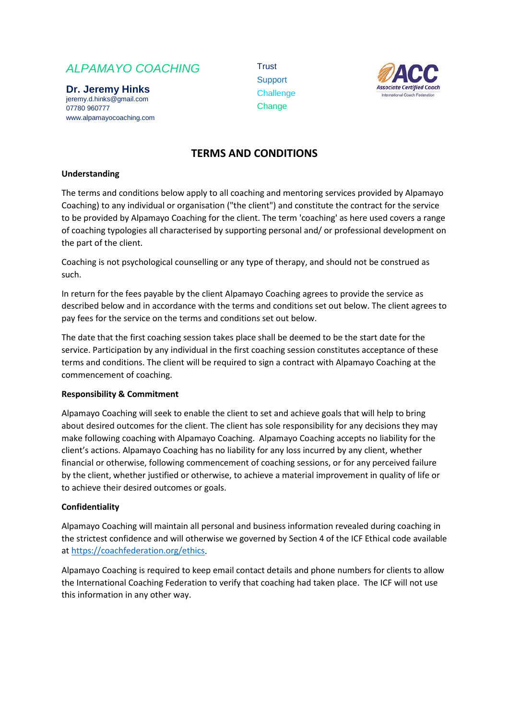# *ALPAMAYO COACHING*

**Dr. Jeremy Hinks** jeremy.d.hinks@gmail.com 07780 960777 www.alpamayocoaching.com Trust **Support Challenge Change** 



# **TERMS AND CONDITIONS**

# **Understanding**

The terms and conditions below apply to all coaching and mentoring services provided by Alpamayo Coaching) to any individual or organisation ("the client") and constitute the contract for the service to be provided by Alpamayo Coaching for the client. The term 'coaching' as here used covers a range of coaching typologies all characterised by supporting personal and/ or professional development on the part of the client.

Coaching is not psychological counselling or any type of therapy, and should not be construed as such.

In return for the fees payable by the client Alpamayo Coaching agrees to provide the service as described below and in accordance with the terms and conditions set out below. The client agrees to pay fees for the service on the terms and conditions set out below.

The date that the first coaching session takes place shall be deemed to be the start date for the service. Participation by any individual in the first coaching session constitutes acceptance of these terms and conditions. The client will be required to sign a contract with Alpamayo Coaching at the commencement of coaching.

#### **Responsibility & Commitment**

Alpamayo Coaching will seek to enable the client to set and achieve goals that will help to bring about desired outcomes for the client. The client has sole responsibility for any decisions they may make following coaching with Alpamayo Coaching. Alpamayo Coaching accepts no liability for the client's actions. Alpamayo Coaching has no liability for any loss incurred by any client, whether financial or otherwise, following commencement of coaching sessions, or for any perceived failure by the client, whether justified or otherwise, to achieve a material improvement in quality of life or to achieve their desired outcomes or goals.

#### **Confidentiality**

Alpamayo Coaching will maintain all personal and business information revealed during coaching in the strictest confidence and will otherwise we governed by Section 4 of the ICF Ethical code available at [https://coachfederation.org/ethics.](https://coachfederation.org/ethics)

Alpamayo Coaching is required to keep email contact details and phone numbers for clients to allow the International Coaching Federation to verify that coaching had taken place. The ICF will not use this information in any other way.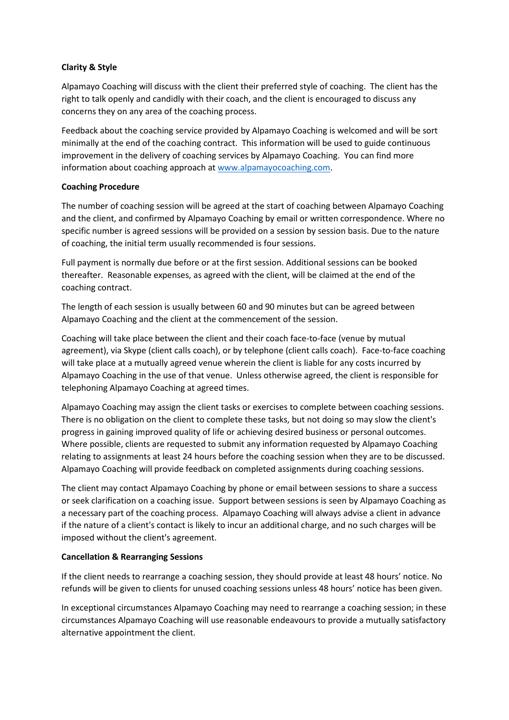# **Clarity & Style**

Alpamayo Coaching will discuss with the client their preferred style of coaching. The client has the right to talk openly and candidly with their coach, and the client is encouraged to discuss any concerns they on any area of the coaching process.

Feedback about the coaching service provided by Alpamayo Coaching is welcomed and will be sort minimally at the end of the coaching contract. This information will be used to guide continuous improvement in the delivery of coaching services by Alpamayo Coaching. You can find more information about coaching approach a[t www.alpamayocoaching.com.](http://www.alpamayocoaching.com/)

## **Coaching Procedure**

The number of coaching session will be agreed at the start of coaching between Alpamayo Coaching and the client, and confirmed by Alpamayo Coaching by email or written correspondence. Where no specific number is agreed sessions will be provided on a session by session basis. Due to the nature of coaching, the initial term usually recommended is four sessions.

Full payment is normally due before or at the first session. Additional sessions can be booked thereafter. Reasonable expenses, as agreed with the client, will be claimed at the end of the coaching contract.

The length of each session is usually between 60 and 90 minutes but can be agreed between Alpamayo Coaching and the client at the commencement of the session.

Coaching will take place between the client and their coach face-to-face (venue by mutual agreement), via Skype (client calls coach), or by telephone (client calls coach). Face-to-face coaching will take place at a mutually agreed venue wherein the client is liable for any costs incurred by Alpamayo Coaching in the use of that venue. Unless otherwise agreed, the client is responsible for telephoning Alpamayo Coaching at agreed times.

Alpamayo Coaching may assign the client tasks or exercises to complete between coaching sessions. There is no obligation on the client to complete these tasks, but not doing so may slow the client's progress in gaining improved quality of life or achieving desired business or personal outcomes. Where possible, clients are requested to submit any information requested by Alpamayo Coaching relating to assignments at least 24 hours before the coaching session when they are to be discussed. Alpamayo Coaching will provide feedback on completed assignments during coaching sessions.

The client may contact Alpamayo Coaching by phone or email between sessions to share a success or seek clarification on a coaching issue. Support between sessions is seen by Alpamayo Coaching as a necessary part of the coaching process. Alpamayo Coaching will always advise a client in advance if the nature of a client's contact is likely to incur an additional charge, and no such charges will be imposed without the client's agreement.

#### **Cancellation & Rearranging Sessions**

If the client needs to rearrange a coaching session, they should provide at least 48 hours' notice. No refunds will be given to clients for unused coaching sessions unless 48 hours' notice has been given.

In exceptional circumstances Alpamayo Coaching may need to rearrange a coaching session; in these circumstances Alpamayo Coaching will use reasonable endeavours to provide a mutually satisfactory alternative appointment the client.